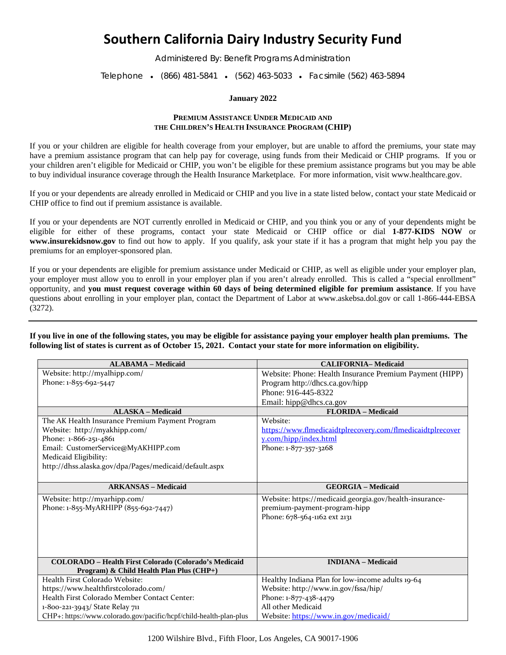## **Southern California Dairy Industry Security Fund**

Administered By: Benefit Programs Administration

Telephone • (866) 481-5841 • (562) 463-5033 • Facsimile (562) 463-5894

## **January 2022**

## **PREMIUM ASSISTANCE UNDER MEDICAID AND THE CHILDREN'S HEALTH INSURANCE PROGRAM (CHIP)**

If you or your children are eligible for health coverage from your employer, but are unable to afford the premiums, your state may have a premium assistance program that can help pay for coverage, using funds from their Medicaid or CHIP programs. If you or your children aren't eligible for Medicaid or CHIP, you won't be eligible for these premium assistance programs but you may be able to buy individual insurance coverage through the Health Insurance Marketplace. For more information, visit [www.healthcare.gov.](http://www.healthcare.gov/)

If you or your dependents are already enrolled in Medicaid or CHIP and you live in a state listed below, contact your state Medicaid or CHIP office to find out if premium assistance is available.

If you or your dependents are NOT currently enrolled in Medicaid or CHIP, and you think you or any of your dependents might be eligible for either of these programs, contact your state Medicaid or CHIP office or dial **1-877-KIDS NOW** or **www.insurekidsnow.gov** to find out how to apply. If you qualify, ask your state if it has a program that might help you pay the premiums for an employer-sponsored plan.

If you or your dependents are eligible for premium assistance under Medicaid or CHIP, as well as eligible under your employer plan, your employer must allow you to enroll in your employer plan if you aren't already enrolled. This is called a "special enrollment" opportunity, and **you must request coverage within 60 days of being determined eligible for premium assistance**. If you have questions about enrolling in your employer plan, contact the Department of Labor at [www.askebsa.dol.gov](http://www.askebsa.dol.gov/) or call 1-866-444-EBSA (3272).

**If you live in one of the following states, you may be eligible for assistance paying your employer health plan premiums. The following list of states is current as of October 15, 2021. Contact your state for more information on eligibility.**

| <b>ALABAMA - Medicaid</b>                                          | <b>CALIFORNIA-Medicaid</b>                                 |
|--------------------------------------------------------------------|------------------------------------------------------------|
| Website: http://myalhipp.com/                                      | Website: Phone: Health Insurance Premium Payment (HIPP)    |
| Phone: 1-855-692-5447                                              | Program http://dhcs.ca.gov/hipp                            |
|                                                                    | Phone: 916-445-8322                                        |
|                                                                    | Email: hipp@dhcs.ca.gov                                    |
| <b>ALASKA - Medicaid</b>                                           | <b>FLORIDA</b> - Medicaid                                  |
| The AK Health Insurance Premium Payment Program                    | Website:                                                   |
| Website: http://myakhipp.com/                                      | https://www.flmedicaidtplrecovery.com/flmedicaidtplrecover |
| Phone: 1-866-251-4861                                              | y.com/hipp/index.html                                      |
| Email: CustomerService@MyAKHIPP.com                                | Phone: 1-877-357-3268                                      |
| Medicaid Eligibility:                                              |                                                            |
| http://dhss.alaska.gov/dpa/Pages/medicaid/default.aspx             |                                                            |
|                                                                    |                                                            |
| <b>ARKANSAS - Medicaid</b>                                         | <b>GEORGIA - Medicaid</b>                                  |
| Website: http://myarhipp.com/                                      | Website: https://medicaid.georgia.gov/health-insurance-    |
| Phone: 1-855-MyARHIPP (855-692-7447)                               | premium-payment-program-hipp                               |
|                                                                    | Phone: 678-564-1162 ext 2131                               |
|                                                                    |                                                            |
|                                                                    |                                                            |
|                                                                    |                                                            |
|                                                                    |                                                            |
| COLORADO - Health First Colorado (Colorado's Medicaid              | <b>INDIANA</b> – Medicaid                                  |
| Program) & Child Health Plan Plus (CHP+)                           |                                                            |
| Health First Colorado Website:                                     | Healthy Indiana Plan for low-income adults 19-64           |
| https://www.healthfirstcolorado.com/                               | Website: http://www.in.gov/fssa/hip/                       |
| Health First Colorado Member Contact Center:                       | Phone: 1-877-438-4479                                      |
| 1-800-221-3943/ State Relay 711                                    | All other Medicaid                                         |
| CHP+: https://www.colorado.gov/pacific/hcpf/child-health-plan-plus | Website: https://www.in.gov/medicaid/                      |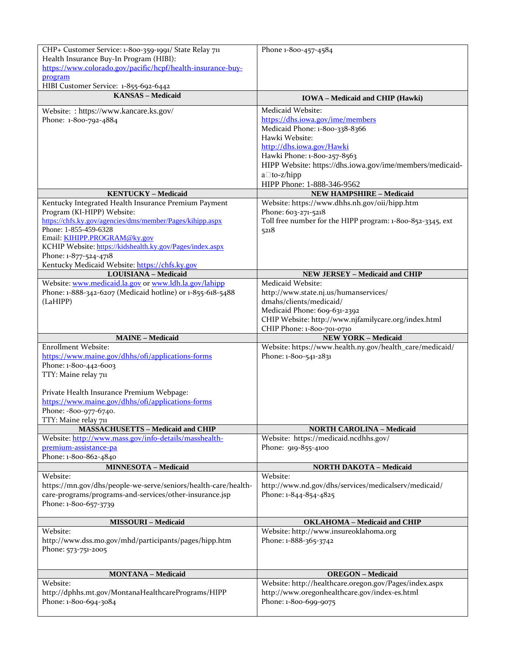| CHP+ Customer Service: 1-800-359-1991/ State Relay 711         | Phone 1-800-457-4584                                       |
|----------------------------------------------------------------|------------------------------------------------------------|
| Health Insurance Buy-In Program (HIBI):                        |                                                            |
| https://www.colorado.gov/pacific/hcpf/health-insurance-buy-    |                                                            |
| program                                                        |                                                            |
| HIBI Customer Service: 1-855-692-6442                          |                                                            |
| <b>KANSAS</b> - Medicaid                                       | <b>IOWA</b> – Medicaid and CHIP (Hawki)                    |
| Website: : https://www.kancare.ks.gov/                         | Medicaid Website:                                          |
| Phone: 1-800-792-4884                                          | https://dhs.iowa.gov/ime/members                           |
|                                                                | Medicaid Phone: 1-800-338-8366                             |
|                                                                | Hawki Website:                                             |
|                                                                | http://dhs.iowa.gov/Hawki                                  |
|                                                                | Hawki Phone: 1-800-257-8563                                |
|                                                                | HIPP Website: https://dhs.iowa.gov/ime/members/medicaid-   |
|                                                                | $a \Box$ to-z/hipp                                         |
|                                                                | HIPP Phone: 1-888-346-9562                                 |
| <b>KENTUCKY - Medicaid</b>                                     | <b>NEW HAMPSHIRE - Medicaid</b>                            |
| Kentucky Integrated Health Insurance Premium Payment           | Website: https://www.dhhs.nh.gov/oii/hipp.htm              |
| Program (KI-HIPP) Website:                                     | Phone: 603-271-5218                                        |
| https://chfs.ky.gov/agencies/dms/member/Pages/kihipp.aspx      | Toll free number for the HIPP program: 1-800-852-3345, ext |
| Phone: 1-855-459-6328                                          |                                                            |
| Email: KIHIPP.PROGRAM@ky.gov                                   | 5218                                                       |
| KCHIP Website: https://kidshealth.ky.gov/Pages/index.aspx      |                                                            |
| Phone: 1-877-524-4718                                          |                                                            |
| Kentucky Medicaid Website: https://chfs.ky.gov                 |                                                            |
| <b>LOUISIANA - Medicaid</b>                                    | <b>NEW JERSEY - Medicaid and CHIP</b>                      |
| Website: www.medicaid.la.gov or www.ldh.la.gov/lahipp          | Medicaid Website:                                          |
| Phone: 1-888-342-6207 (Medicaid hotline) or 1-855-618-5488     | http://www.state.nj.us/humanservices/                      |
| (LaHIPP)                                                       | dmahs/clients/medicaid/                                    |
|                                                                | Medicaid Phone: 609-631-2392                               |
|                                                                | CHIP Website: http://www.njfamilycare.org/index.html       |
|                                                                | CHIP Phone: 1-800-701-0710                                 |
| <b>MAINE - Medicaid</b>                                        | <b>NEW YORK - Medicaid</b>                                 |
| <b>Enrollment Website:</b>                                     | Website: https://www.health.ny.gov/health_care/medicaid/   |
| https://www.maine.gov/dhhs/ofi/applications-forms              | Phone: 1-800-541-2831                                      |
| Phone: 1-800-442-6003                                          |                                                            |
| TTY: Maine relay 711                                           |                                                            |
|                                                                |                                                            |
|                                                                |                                                            |
| Private Health Insurance Premium Webpage:                      |                                                            |
| https://www.maine.gov/dhhs/ofi/applications-forms              |                                                            |
| Phone: -800-977-6740.                                          |                                                            |
| TTY: Maine relay 711                                           |                                                            |
| <b>MASSACHUSETTS - Medicaid and CHIP</b>                       | <b>NORTH CAROLINA - Medicaid</b>                           |
| Website: http://www.mass.gov/info-details/masshealth-          | Website: https://medicaid.ncdhhs.gov/                      |
| premium-assistance-pa                                          | Phone: 919-855-4100                                        |
| Phone: 1-800-862-4840                                          |                                                            |
| <b>MINNESOTA - Medicaid</b>                                    | <b>NORTH DAKOTA - Medicaid</b>                             |
| Website:                                                       | Website:                                                   |
| https://mn.gov/dhs/people-we-serve/seniors/health-care/health- | http://www.nd.gov/dhs/services/medicalserv/medicaid/       |
| care-programs/programs-and-services/other-insurance.jsp        | Phone: 1-844-854-4825                                      |
| Phone: 1-800-657-3739                                          |                                                            |
|                                                                |                                                            |
| <b>MISSOURI - Medicaid</b>                                     | <b>OKLAHOMA</b> - Medicaid and CHIP                        |
| Website:                                                       | Website: http://www.insureoklahoma.org                     |
| http://www.dss.mo.gov/mhd/participants/pages/hipp.htm          | Phone: 1-888-365-3742                                      |
| Phone: 573-751-2005                                            |                                                            |
|                                                                |                                                            |
|                                                                |                                                            |
| <b>MONTANA - Medicaid</b>                                      | <b>OREGON</b> – Medicaid                                   |
| Website:                                                       | Website: http://healthcare.oregon.gov/Pages/index.aspx     |
| http://dphhs.mt.gov/MontanaHealthcarePrograms/HIPP             | http://www.oregonhealthcare.gov/index-es.html              |
| Phone: 1-800-694-3084                                          | Phone: 1-800-699-9075                                      |